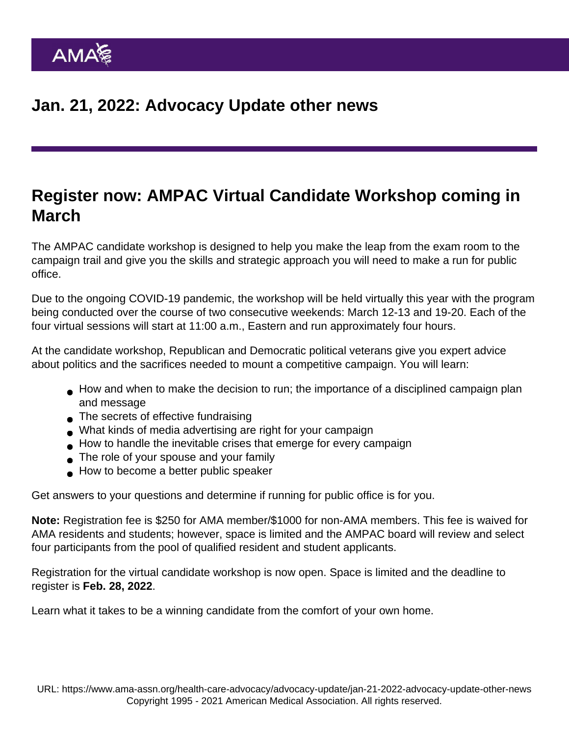## Register now: AMPAC Virtual Candidate Workshop coming in March

[The AMPAC candidate workshop](https://www.ampaconline.org/political-education/ampac-candidate-workshop ) is designed to help you make the leap from the exam room to the campaign trail and give you the skills and strategic approach you will need to make a run for public office.

Due to the ongoing COVID-19 pandemic, the workshop will be held virtually this year with the program being conducted over the course of two consecutive weekends: March 12-13 and 19-20. Each of the four virtual sessions will start at 11:00 a.m., Eastern and run approximately four hours.

At the candidate workshop, Republican and Democratic political veterans give you expert advice about politics and the sacrifices needed to mount a competitive campaign. You will learn:

- How and when to make the decision to run; the importance of a disciplined campaign plan and message
- The secrets of effective fundraising
- What kinds of media advertising are right for your campaign
- How to handle the inevitable crises that emerge for every campaign
- The role of your spouse and your family
- How to become a better public speaker

Get answers to your questions and determine if running for public office is for you.

Note: Registration fee is \$250 for AMA member/\$1000 for non-AMA members. This fee is waived for AMA residents and students; however, space is limited and the AMPAC board will review and select four participants from the pool of qualified resident and student applicants.

[Registration for the virtual candidate workshop](https://www.ampaconline.org/political-education/ampac-candidate-workshop ) is now open. Space is limited and the deadline to register is Feb. 28, 2022.

Learn what it takes to be a winning candidate from the comfort of your own home.